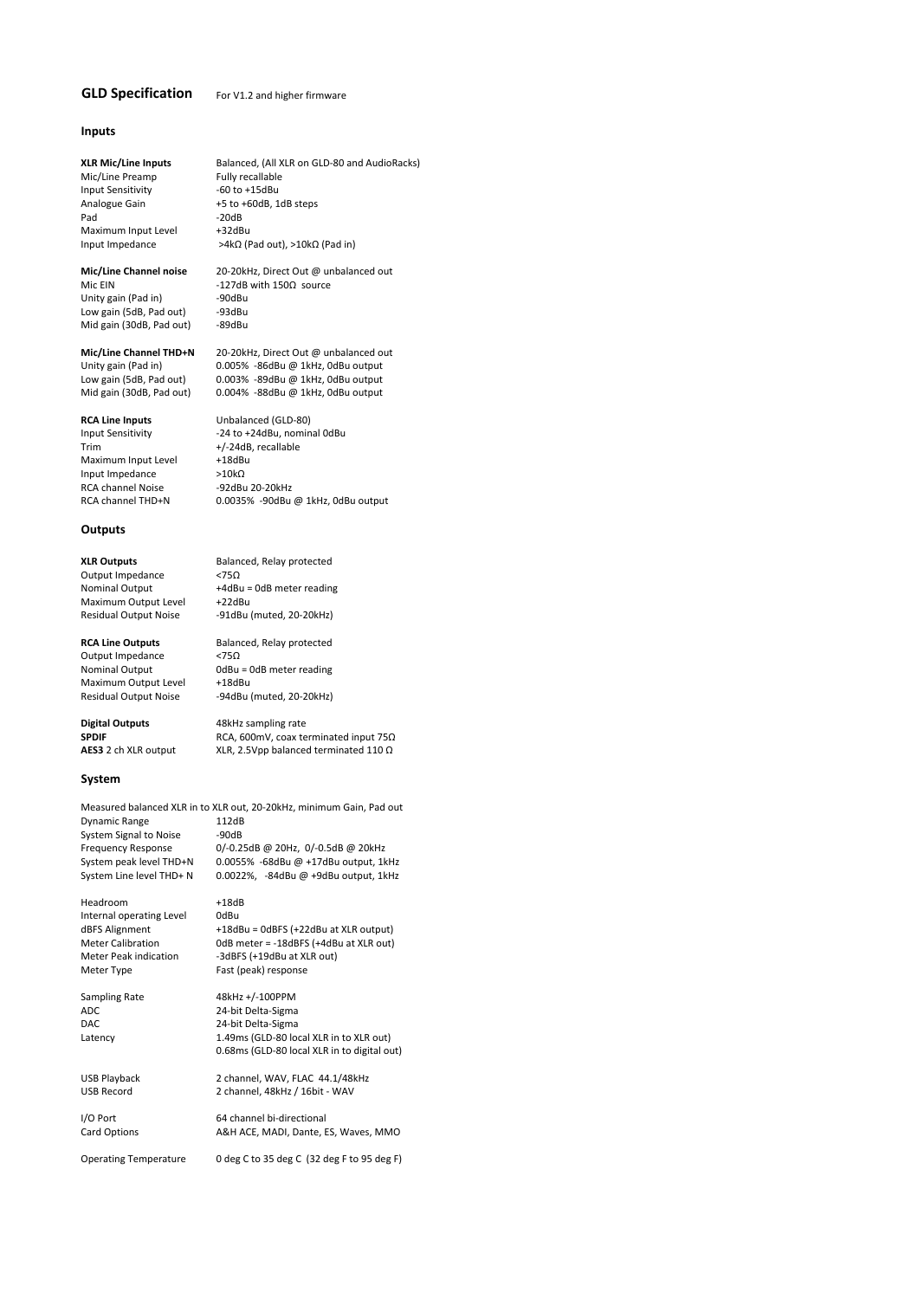## **GLD Specification** For V1.2 and higher firmware

## **Inputs**

**XLR Mic/Line Inputs** Balanced, (All XLR on GLD-80 and AudioRacks)<br>Mic/Line Preamp Fully recallable

Mic/Line Preamp Fully recallable<br>
Input Sensitivity 60 to +15dBu Input Sensitivity<br>Analogue Gain Analogue Gain  $+5$  to +60dB, 1dB steps<br>Pad  $-20$ dB Maximum Input Level Input Impedance >4kΩ (Pad out), >10kΩ (Pad in)

**Mic/Line Channel noise** 20-20kHz, Direct Out @ unbalanced out<br>Mic FIN 2127dB with 1500 source -127dB with 150Ω source<br>-90dBu Unity gain (Pad in) -90dBu<br>Low gain (5dB, Pad out) -93dBu Low gain (5dB, Pad out) -93dBu<br>Mid gain (30dB, Pad out) -89dBu Mid gain (30dB, Pad out)

 $-20dB$ <br> $+32dBu$ 

**Mic/Line Channel THD+N** 20-20kHz, Direct Out @ unbalanced out Unity gain (Pad in) 0.005% -86dBu @ 1kHz. 0dBu outnut

Maximum Input Level Input Impedance >10kΩ RCA channel Noise **•92dBu 20-20kHz** 

### **Outputs**

Output Impedance <75Ω<br>Nominal Output +4dBι Maximum Output Level<br>Residual Output Noise

Output Impedance <75Ω Maximum Output Level

### **System**

Measured balanced XLR in to XLR out, 20‐20kHz, minimum Gain, Pad out Dynamic Range 112dB<br>System Signal to Noise 90dB System Signal to Noise Frequency Response 0/-0.25dB @ 20Hz, 0/-0.5dB @ 20kHz<br>System peak level THD+N 0.0055% -68dBu @ +17dBu output, 1k System peak level THD+N 0.0055% -68dBu @ +17dBu output, 1kHz<br>System Line level THD+ N 0.0022%, -84dBu @ +9dBu output, 1kHz

Headroom +18dB Internal operating Level 0dBu

 $0.005\%$  -86dBu @ 1kHz, 0dBu output Low gain (5dB, Pad out) 0.003% -89dBu @ 1kHz, 0dBu output Mid gain (30dB, Pad out) 0.004% ‐88dBu @ 1kHz, 0dBu output

**RCA Line Inputs** Unbalanced (GLD-80)<br>
Input Sensitivity **1997** -24 to +24dBu, nomin Input Sensitivity **124 to +24dBu, nominal 0dBu**<br>Trim **+/-24dB, recallable** +/-24dB, recallable<br>+18dBu RCA channel THD+N 0.0035% ‐90dBu @ 1kHz, 0dBu output

**XLR Outputs** Balanced, Relay protected +4dBu = 0dB meter reading<br>+22dBu -91dBu (muted, 20-20kHz)

**RCA Line Outputs** Balanced, Relay protected Nominal Output 0dBu = 0dB meter reading<br>
Maximum Output Level +18dBu Residual Output Noise ‐94dBu (muted, 20‐20kHz)

**Digital Outputs** 48kHz sampling rate<br>**SPDIF** RCA. 600mV. coax te **SPDIF** RCA, 600mV, coax terminated input 75Ω<br> **AES3** 2 ch XLR output XLR, 2.5Vpp balanced terminated 110 Ω **XLR, 2.5Vpp balanced terminated 110 Ω** 

 $0.0022\%$ , -84dBu @ +9dBu output, 1kHz

dBFS Alignment +18dBu = 0dBFS (+22dBu at XLR output)<br>Meter Calibration 0dB meter = -18dBFS (+4dBu at XLR out) Meter Calibration 0dB meter = -18dBFS (+4dBu at XLR out)<br>Meter Peak indication - -3dBFS (+19dBu at XLR out) Meter Peak indication <sup>-3</sup>dBFS (+19dBu at XLR out)<br>
Meter Type Fast (peak) response Fast (peak) response

Sampling Rate 48kHz +/-100PPM ADC 24-bit Delta-Sigma<br>
24-bit Delta-Sigma<br>
24-bit Delta-Sigma 24-bit Delta-Sigma Latency 1.49ms (GLD-80 local XLR in to XLR out) 0.68ms (GLD‐80 local XLR in to digital out)

USB Playback 2 channel, WAV, FLAC 44.1/48kHz 2 channel, 48kHz / 16bit - WAV

I/O Port 64 channel bi‐directional Card Options **A&H ACE, MADI, Dante, ES, Waves, MMO** 

Operating Temperature 0 deg C to 35 deg C (32 deg F to 95 deg F)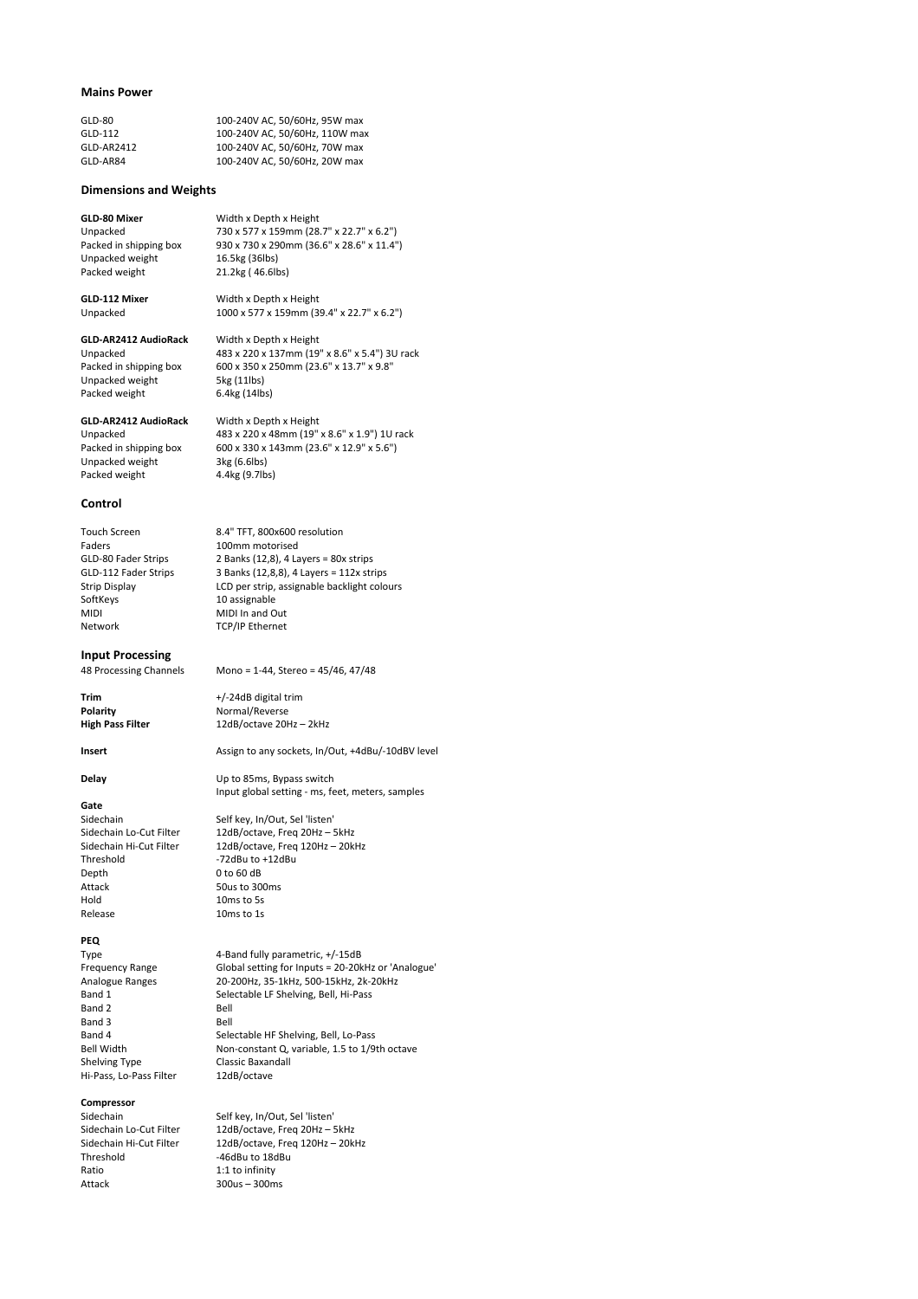### **Mains Power**

| GLD-80     | 100-240V AC, 50/60Hz, 95W max  |
|------------|--------------------------------|
| GLD-112    | 100-240V AC, 50/60Hz, 110W max |
| GLD-AR2412 | 100-240V AC. 50/60Hz. 70W max  |
| GLD-AR84   | 100-240V AC, 50/60Hz, 20W max  |

### **Dimensions and Weights**

## **GLD-80 Mixer** Width x Depth x Height<br>
Unnacked 730 x 577 x 159mm (28)

Packed in shipping box 930 x 730 x 290mm (36.6" x 28.6" x 11.4") Unpacked weight<br>Packed weight

21.2kg ( 46.6lbs) **GLD‐112 Mixer** Width x Depth x Height

Unpacked 730 x 577 x 159mm (28.7" x 22.7" x 6.2")

Unpacked 1000 x 577 x 159mm (39.4" x 22.7" x 6.2") **GLD‐AR2412 AudioRack** Width x Depth x Height

Unpacked 483 x 220 x 137mm (19" x 8.6" x 5.4") 3U rack Packed in shipping box 600 x 350 x 250mm (23.6" x 13.7" x 9.8"<br>Unpacked weight 5kg (11lbs) Unpacked weight 5kg (11lbs)<br>Packed weight 6.4kg (14lbs) Packed weight

Unpacked weight Packed weight 4.4kg (9.7lbs)

**GLD‐AR2412 AudioRack** Width x Depth x Height Unpacked 483 x 220 x 48mm (19" x 8.6" x 1.9") 1U rack<br>Packed in shipping box 600 x 330 x 143mm (23.6" x 12.9" x 5.6") 600 x 330 x 143mm (23.6" x 12.9" x 5.6")<br>3kg (6.6lbs)

### **Control**

Touch Screen 8.4" TFT, 800x600 resolution<br>Faders 100mm motorised Faders 100mm motorised<br>GLD-80 Fader Strips 2 Banks (12,8), 4 La GLD-80 Fader Strips 2 Banks (12,8), 4 Layers = 80x strips<br>GLD-112 Fader Strips 3 Banks (12,8,8), 4 Layers = 112x str GLD-112 Fader Strips 3 Banks (12,8,8), 4 Layers = 112x strips<br>Strip Display 1 LCD per strip, assignable backlight colo SoftKeys 10 assignable MIDI MIDI In and Out Network TCP/IP Ethernet

## **Input Processing**

**Polarity Polarity Normal/Reverse**<br> **High Pass Filter** 12dB/octave 20H

## **Gate**

Threshold ‐72dBu to +12dBu Depth 0 to 60 dB<br>Attack 50us to 30 Attack 50us to 300ms<br>
Hold 10ms to 5s Release 10ms to 1s

### **PEQ**

Band 2 Bell<br>Band 3 Bell Band 3<br>Band 4 Shelving Type Classic Baxar<br>Hi-Pass. Lo-Pass Filter 12dB/octave Hi-Pass, Lo-Pass Filter

### **Compressor**

Ratio 1:1 to infinity Attack 300us – 300ms

Mono = 1-44, Stereo = 45/46, 47/48

LCD per strip, assignable backlight colours

**Trim** +/-24dB digital trim<br> **Polarity CONFINGE MOTEL ACCOMPTENT POLARITY High Pass Filter** 12dB/octave 20Hz – 2kHz

Insert **Assign to any sockets, In/Out, +4dBu/-10dBV level** 

**Delay** Up to 85ms, Bypass switch Input global setting ‐ ms, feet, meters, samples

Sidechain Self key, In/Out, Sel 'listen'<br>Sidechain Lo-Cut Filter 12dB/octave, Freq 20Hz - 5 Sidechain Lo-Cut Filter 12dB/octave, Freq 20Hz – 5kHz<br>Sidechain Hi-Cut Filter 12dB/octave, Freq 120Hz – 20k 12dB/octave, Freq 120Hz – 20kHz 10 $ms$  to 5s

Type 4-Band fully parametric, +/-15dB Frequency Range Global setting for Inputs = 20-20kHz or 'Analogue' Analogue Ranges 20‐200Hz, 35‐1kHz, 500‐15kHz, 2k‐20kHz Band 1 Selectable LF Shelving, Bell, Hi-Pass<br>Band 2 Bell Band 4 Selectable HF Shelving, Bell, Lo-Pass<br>Bell Width Mon-constant Q, variable, 1.5 to 1/9 Non-constant Q, variable, 1.5 to 1/9th octave<br>Classic Baxandall

Sidechain Self key, In/Out, Sel 'listen'<br>Sidechain Lo-Cut Filter 12dB/octave, Freq 20Hz - 5 Sidechain Lo-Cut Filter 12dB/octave, Freq 20Hz – 5kHz<br>Sidechain Hi-Cut Filter 12dB/octave, Freq 120Hz – 20k Sidechain Hi-Cut Filter 12dB/octave, Freq 120Hz – 20kHz<br>Threshold -46dBu to 18dBu  $-46$ dBu to  $18$ dBu